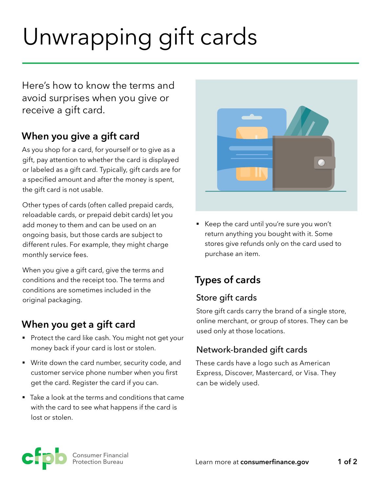# Unwrapping gift cards

Here's how to know the terms and avoid surprises when you give or receive a gift card.

# **When you give a gift card**

As you shop for a card, for yourself or to give as a gift, pay attention to whether the card is displayed or labeled as a gift card. Typically, gift cards are for a specified amount and after the money is spent, the gift card is not usable.

Other types of cards (often called prepaid cards, reloadable cards, or prepaid debit cards) let you add money to them and can be used on an ongoing basis, but those cards are subject to different rules. For example, they might charge monthly service fees.

When you give a gift card, give the terms and conditions and the receipt too. The terms and conditions are sometimes included in the original packaging.

# **When you get a gift card**

- Protect the card like cash. You might not get your money back if your card is lost or stolen.
- § Write down the card number, security code, and customer service phone number when you first get the card. Register the card if you can.
- Take a look at the terms and conditions that came with the card to see what happens if the card is lost or stolen.



■ Keep the card until you're sure you won't return anything you bought with it. Some stores give refunds only on the card used to purchase an item.

# **Types of cards**

## Store gift cards

Store gift cards carry the brand of a single store, online merchant, or group of stores. They can be used only at those locations.

## Network-branded gift cards

These cards have a logo such as American Express, Discover, Mastercard, or Visa. They can be widely used.